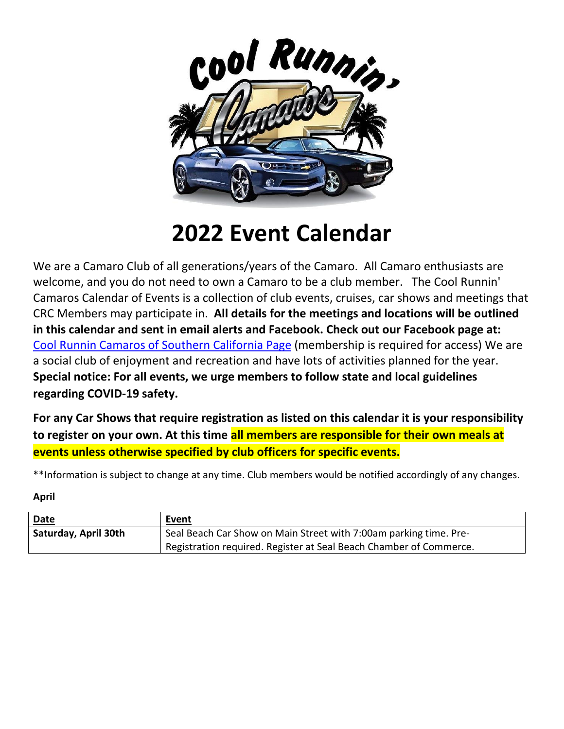

# **2022 Event Calendar**

We are a Camaro Club of all generations/years of the Camaro. All Camaro enthusiasts are welcome, and you do not need to own a Camaro to be a club member. The Cool Runnin' Camaros Calendar of Events is a collection of club events, cruises, car shows and meetings that CRC Members may participate in. **All details for the meetings and locations will be outlined in this calendar and sent in email alerts and Facebook. Check out our Facebook page at:**  [Cool Runnin Camaros of Southern California](about:blank) Page (membership is required for access) We are a social club of enjoyment and recreation and have lots of activities planned for the year. **Special notice: For all events, we urge members to follow state and local guidelines regarding COVID-19 safety.**

**For any Car Shows that require registration as listed on this calendar it is your responsibility to register on your own. At this time all members are responsible for their own meals at events unless otherwise specified by club officers for specific events.** 

\*\*Information is subject to change at any time. Club members would be notified accordingly of any changes.

**April**

| Date                 | Event                                                              |
|----------------------|--------------------------------------------------------------------|
| Saturday, April 30th | Seal Beach Car Show on Main Street with 7:00am parking time. Pre-  |
|                      | Registration required. Register at Seal Beach Chamber of Commerce. |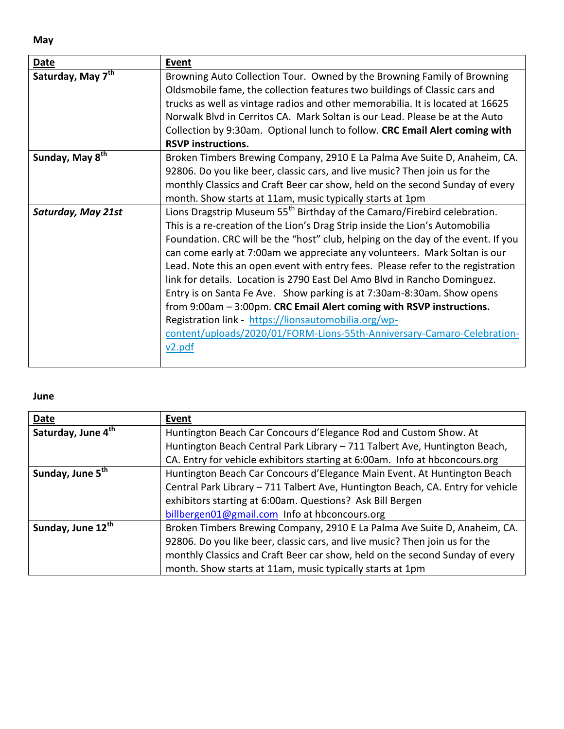**May**

| <b>Date</b>                   | Event                                                                                |
|-------------------------------|--------------------------------------------------------------------------------------|
| Saturday, May 7 <sup>th</sup> | Browning Auto Collection Tour. Owned by the Browning Family of Browning              |
|                               | Oldsmobile fame, the collection features two buildings of Classic cars and           |
|                               | trucks as well as vintage radios and other memorabilia. It is located at 16625       |
|                               | Norwalk Blvd in Cerritos CA. Mark Soltan is our Lead. Please be at the Auto          |
|                               | Collection by 9:30am. Optional lunch to follow. CRC Email Alert coming with          |
|                               | <b>RSVP instructions.</b>                                                            |
| Sunday, May 8 <sup>th</sup>   | Broken Timbers Brewing Company, 2910 E La Palma Ave Suite D, Anaheim, CA.            |
|                               | 92806. Do you like beer, classic cars, and live music? Then join us for the          |
|                               | monthly Classics and Craft Beer car show, held on the second Sunday of every         |
|                               | month. Show starts at 11am, music typically starts at 1pm                            |
| Saturday, May 21st            | Lions Dragstrip Museum 55 <sup>th</sup> Birthday of the Camaro/Firebird celebration. |
|                               | This is a re-creation of the Lion's Drag Strip inside the Lion's Automobilia         |
|                               | Foundation. CRC will be the "host" club, helping on the day of the event. If you     |
|                               | can come early at 7:00am we appreciate any volunteers. Mark Soltan is our            |
|                               | Lead. Note this an open event with entry fees. Please refer to the registration      |
|                               | link for details. Location is 2790 East Del Amo Blvd in Rancho Dominguez.            |
|                               | Entry is on Santa Fe Ave. Show parking is at 7:30am-8:30am. Show opens               |
|                               | from 9:00am - 3:00pm. CRC Email Alert coming with RSVP instructions.                 |
|                               | Registration link - https://lionsautomobilia.org/wp-                                 |
|                               | content/uploads/2020/01/FORM-Lions-55th-Anniversary-Camaro-Celebration-              |
|                               | v2.pdf                                                                               |
|                               |                                                                                      |

### **June**

| Date                           | Event                                                                           |
|--------------------------------|---------------------------------------------------------------------------------|
| Saturday, June 4 <sup>th</sup> | Huntington Beach Car Concours d'Elegance Rod and Custom Show. At                |
|                                | Huntington Beach Central Park Library - 711 Talbert Ave, Huntington Beach,      |
|                                | CA. Entry for vehicle exhibitors starting at 6:00am. Info at hbconcours.org     |
| Sunday, June 5 <sup>th</sup>   | Huntington Beach Car Concours d'Elegance Main Event. At Huntington Beach        |
|                                | Central Park Library - 711 Talbert Ave, Huntington Beach, CA. Entry for vehicle |
|                                | exhibitors starting at 6:00am. Questions? Ask Bill Bergen                       |
|                                | billbergen01@gmail.com Info at hbconcours.org                                   |
| Sunday, June 12th              | Broken Timbers Brewing Company, 2910 E La Palma Ave Suite D, Anaheim, CA.       |
|                                | 92806. Do you like beer, classic cars, and live music? Then join us for the     |
|                                | monthly Classics and Craft Beer car show, held on the second Sunday of every    |
|                                | month. Show starts at 11am, music typically starts at 1pm                       |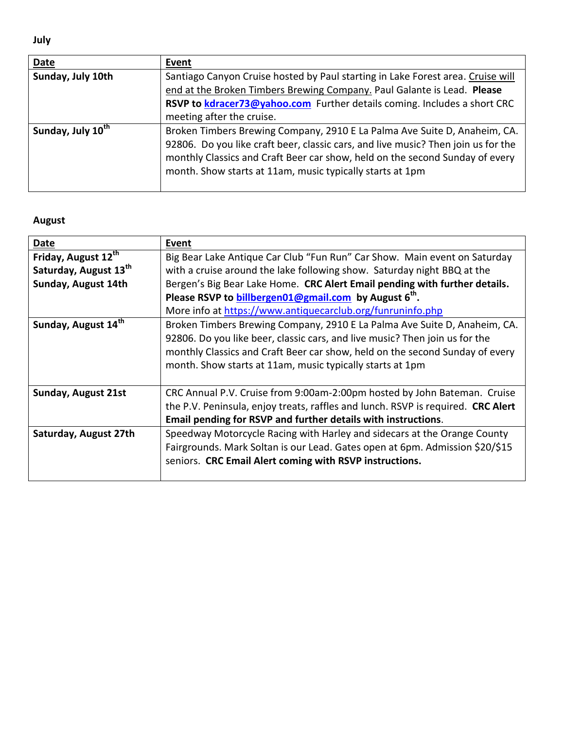**July**

| Date                          | Event                                                                             |
|-------------------------------|-----------------------------------------------------------------------------------|
| Sunday, July 10th             | Santiago Canyon Cruise hosted by Paul starting in Lake Forest area. Cruise will   |
|                               | end at the Broken Timbers Brewing Company. Paul Galante is Lead. Please           |
|                               | RSVP to kdracer73@yahoo.com Further details coming. Includes a short CRC          |
|                               | meeting after the cruise.                                                         |
| Sunday, July 10 <sup>th</sup> | Broken Timbers Brewing Company, 2910 E La Palma Ave Suite D, Anaheim, CA.         |
|                               | 92806. Do you like craft beer, classic cars, and live music? Then join us for the |
|                               | monthly Classics and Craft Beer car show, held on the second Sunday of every      |
|                               | month. Show starts at 11am, music typically starts at 1pm                         |
|                               |                                                                                   |

## **August**

| Date                       | Event                                                                            |
|----------------------------|----------------------------------------------------------------------------------|
| Friday, August 12th        | Big Bear Lake Antique Car Club "Fun Run" Car Show. Main event on Saturday        |
| Saturday, August 13th      | with a cruise around the lake following show. Saturday night BBQ at the          |
| Sunday, August 14th        | Bergen's Big Bear Lake Home. CRC Alert Email pending with further details.       |
|                            | Please RSVP to <b>billbergen01@gmail.com</b> by August 6 <sup>th</sup> .         |
|                            | More info at https://www.antiquecarclub.org/funruninfo.php                       |
| Sunday, August 14th        | Broken Timbers Brewing Company, 2910 E La Palma Ave Suite D, Anaheim, CA.        |
|                            | 92806. Do you like beer, classic cars, and live music? Then join us for the      |
|                            | monthly Classics and Craft Beer car show, held on the second Sunday of every     |
|                            | month. Show starts at 11am, music typically starts at 1pm                        |
|                            |                                                                                  |
| <b>Sunday, August 21st</b> | CRC Annual P.V. Cruise from 9:00am-2:00pm hosted by John Bateman. Cruise         |
|                            | the P.V. Peninsula, enjoy treats, raffles and lunch. RSVP is required. CRC Alert |
|                            | Email pending for RSVP and further details with instructions.                    |
| Saturday, August 27th      | Speedway Motorcycle Racing with Harley and sidecars at the Orange County         |
|                            | Fairgrounds. Mark Soltan is our Lead. Gates open at 6pm. Admission \$20/\$15     |
|                            | seniors. CRC Email Alert coming with RSVP instructions.                          |
|                            |                                                                                  |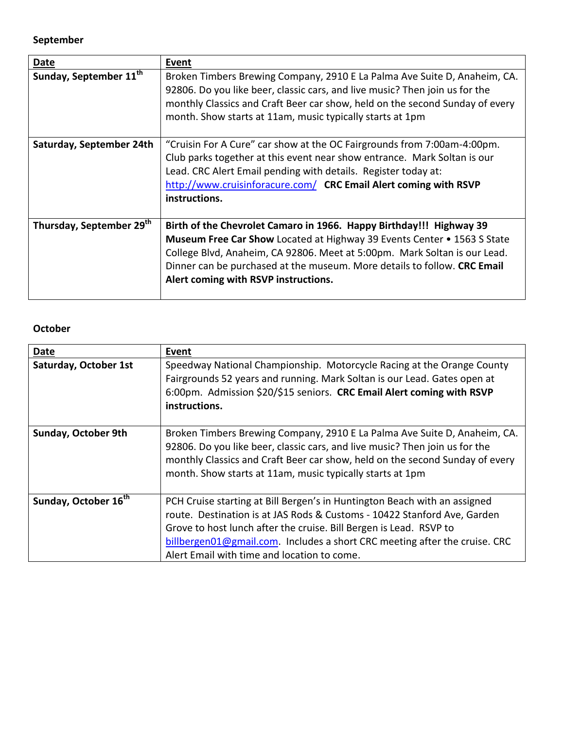#### **September**

| <b>Date</b>                        | Event                                                                                                                                                                                                                                                                                                                                                  |
|------------------------------------|--------------------------------------------------------------------------------------------------------------------------------------------------------------------------------------------------------------------------------------------------------------------------------------------------------------------------------------------------------|
| Sunday, September 11 <sup>th</sup> | Broken Timbers Brewing Company, 2910 E La Palma Ave Suite D, Anaheim, CA.<br>92806. Do you like beer, classic cars, and live music? Then join us for the<br>monthly Classics and Craft Beer car show, held on the second Sunday of every<br>month. Show starts at 11am, music typically starts at 1pm                                                  |
| Saturday, September 24th           | "Cruisin For A Cure" car show at the OC Fairgrounds from 7:00am-4:00pm.<br>Club parks together at this event near show entrance. Mark Soltan is our<br>Lead. CRC Alert Email pending with details. Register today at:<br>http://www.cruisinforacure.com/ CRC Email Alert coming with RSVP<br>instructions.                                             |
| Thursday, September 29th           | Birth of the Chevrolet Camaro in 1966. Happy Birthday!!! Highway 39<br><b>Museum Free Car Show Located at Highway 39 Events Center • 1563 S State</b><br>College Blvd, Anaheim, CA 92806. Meet at 5:00pm. Mark Soltan is our Lead.<br>Dinner can be purchased at the museum. More details to follow. CRC Email<br>Alert coming with RSVP instructions. |

#### **October**

| Date                             | Event                                                                                                                                                                                                                                                                                                                                                    |
|----------------------------------|----------------------------------------------------------------------------------------------------------------------------------------------------------------------------------------------------------------------------------------------------------------------------------------------------------------------------------------------------------|
| Saturday, October 1st            | Speedway National Championship. Motorcycle Racing at the Orange County<br>Fairgrounds 52 years and running. Mark Soltan is our Lead. Gates open at<br>6:00pm. Admission \$20/\$15 seniors. CRC Email Alert coming with RSVP<br>instructions.                                                                                                             |
| <b>Sunday, October 9th</b>       | Broken Timbers Brewing Company, 2910 E La Palma Ave Suite D, Anaheim, CA.<br>92806. Do you like beer, classic cars, and live music? Then join us for the<br>monthly Classics and Craft Beer car show, held on the second Sunday of every<br>month. Show starts at 11am, music typically starts at 1pm                                                    |
| Sunday, October 16 <sup>th</sup> | PCH Cruise starting at Bill Bergen's in Huntington Beach with an assigned<br>route. Destination is at JAS Rods & Customs - 10422 Stanford Ave, Garden<br>Grove to host lunch after the cruise. Bill Bergen is Lead. RSVP to<br>billbergen01@gmail.com. Includes a short CRC meeting after the cruise. CRC<br>Alert Email with time and location to come. |